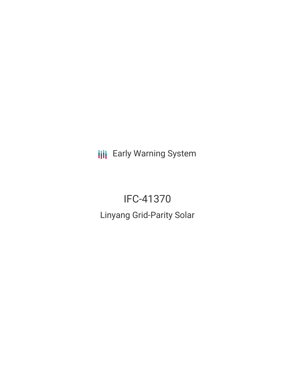**III** Early Warning System

# IFC-41370 Linyang Grid-Parity Solar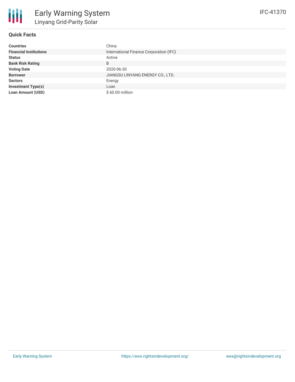

### **Quick Facts**

| <b>Countries</b>              | China                                   |
|-------------------------------|-----------------------------------------|
| <b>Financial Institutions</b> | International Finance Corporation (IFC) |
| <b>Status</b>                 | Active                                  |
| <b>Bank Risk Rating</b>       | B                                       |
| <b>Voting Date</b>            | 2020-06-30                              |
| <b>Borrower</b>               | JIANGSU LINYANG ENERGY CO., LTD.        |
| <b>Sectors</b>                | Energy                                  |
| <b>Investment Type(s)</b>     | Loan                                    |
| <b>Loan Amount (USD)</b>      | \$60.00 million                         |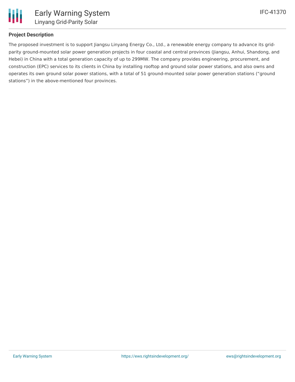

#### **Project Description**

The proposed investment is to support Jiangsu Linyang Energy Co., Ltd., a renewable energy company to advance its gridparity ground-mounted solar power generation projects in four coastal and central provinces (Jiangsu, Anhui, Shandong, and Hebei) in China with a total generation capacity of up to 299MW. The company provides engineering, procurement, and construction (EPC) services to its clients in China by installing rooftop and ground solar power stations, and also owns and operates its own ground solar power stations, with a total of 51 ground-mounted solar power generation stations ("ground stations") in the above-mentioned four provinces.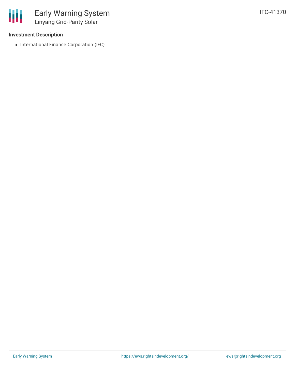#### **Investment Description**

冊

• International Finance Corporation (IFC)